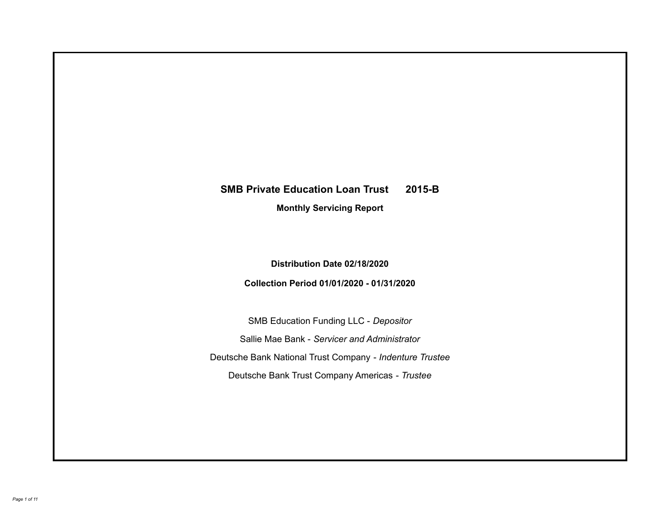# **SMB Private Education Loan Trust 2015-B Monthly Servicing Report**

# **Distribution Date 02/18/2020**

# **Collection Period 01/01/2020 - 01/31/2020**

SMB Education Funding LLC - *Depositor* Sallie Mae Bank - *Servicer and Administrator* Deutsche Bank National Trust Company - *Indenture Trustee* Deutsche Bank Trust Company Americas - *Trustee*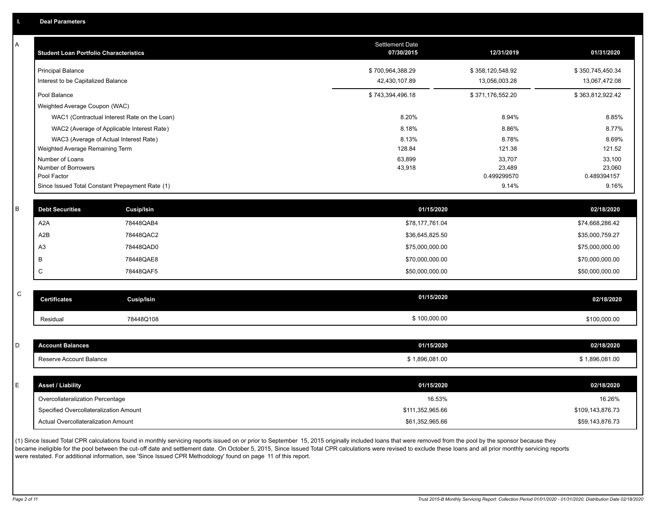| A           | <b>Student Loan Portfolio Characteristics</b> |                                                 | <b>Settlement Date</b><br>07/30/2015 | 12/31/2019           | 01/31/2020           |
|-------------|-----------------------------------------------|-------------------------------------------------|--------------------------------------|----------------------|----------------------|
|             | <b>Principal Balance</b>                      |                                                 | \$700,964,388.29                     | \$358,120,548.92     | \$350,745,450.34     |
|             | Interest to be Capitalized Balance            |                                                 | 42,430,107.89                        | 13,056,003.28        | 13,067,472.08        |
|             | Pool Balance                                  |                                                 | \$743,394,496.18                     | \$371,176,552.20     | \$363,812,922.42     |
|             | Weighted Average Coupon (WAC)                 |                                                 |                                      |                      |                      |
|             |                                               | WAC1 (Contractual Interest Rate on the Loan)    | 8.20%                                | 8.94%                | 8.85%                |
|             |                                               | WAC2 (Average of Applicable Interest Rate)      | 8.18%                                | 8.86%                | 8.77%                |
|             |                                               | WAC3 (Average of Actual Interest Rate)          | 8.13%                                | 8.78%                | 8.69%                |
|             | Weighted Average Remaining Term               |                                                 | 128.84                               | 121.38               | 121.52               |
|             | Number of Loans                               |                                                 | 63,899                               | 33,707               | 33,100               |
|             | Number of Borrowers                           |                                                 | 43,918                               | 23,489               | 23,060               |
|             | Pool Factor                                   | Since Issued Total Constant Prepayment Rate (1) |                                      | 0.499299570<br>9.14% | 0.489394157<br>9.16% |
|             |                                               |                                                 |                                      |                      |                      |
| B           | <b>Debt Securities</b>                        | <b>Cusip/Isin</b>                               | 01/15/2020                           |                      | 02/18/2020           |
|             | A <sub>2</sub> A                              | 78448QAB4                                       | \$78,177,761.04                      |                      | \$74,668,286.42      |
|             | A2B                                           | 78448QAC2                                       | \$36,645,825.50                      |                      | \$35,000,759.27      |
|             | A <sub>3</sub>                                | 78448QAD0                                       | \$75,000,000.00                      |                      | \$75,000,000.00      |
|             | B                                             | 78448QAE8                                       | \$70,000,000.00                      |                      | \$70,000,000.00      |
|             | C                                             | 78448QAF5                                       | \$50,000,000.00                      |                      | \$50,000,000.00      |
|             |                                               |                                                 |                                      |                      |                      |
| $\mathsf C$ | <b>Certificates</b>                           | <b>Cusip/Isin</b>                               | 01/15/2020                           |                      | 02/18/2020           |
|             | Residual                                      | 78448Q108                                       | \$100,000.00                         |                      | \$100,000.00         |
|             |                                               |                                                 |                                      |                      |                      |
| D           | <b>Account Balances</b>                       |                                                 | 01/15/2020                           |                      | 02/18/2020           |
|             | Reserve Account Balance                       |                                                 | \$1,896,081.00                       |                      | \$1,896,081.00       |
|             |                                               |                                                 |                                      |                      |                      |
| E           | <b>Asset / Liability</b>                      |                                                 | 01/15/2020                           |                      | 02/18/2020           |
|             | Overcollateralization Percentage              |                                                 | 16.53%                               |                      | 16.26%               |
|             | Specified Overcollateralization Amount        |                                                 | \$111,352,965.66                     |                      | \$109,143,876.73     |
|             | Actual Overcollateralization Amount           |                                                 | \$61,352,965.66                      |                      | \$59,143,876.73      |

(1) Since Issued Total CPR calculations found in monthly servicing reports issued on or prior to September 15, 2015 originally included loans that were removed from the pool by the sponsor because they .<br>became ineligible for the pool between the cut-off date and settlement date. On October 5, 2015, Since Issued Total CPR calculations were revised to exclude these loans and all prior monthly servicing reports were restated. For additional information, see 'Since Issued CPR Methodology' found on page 11 of this report.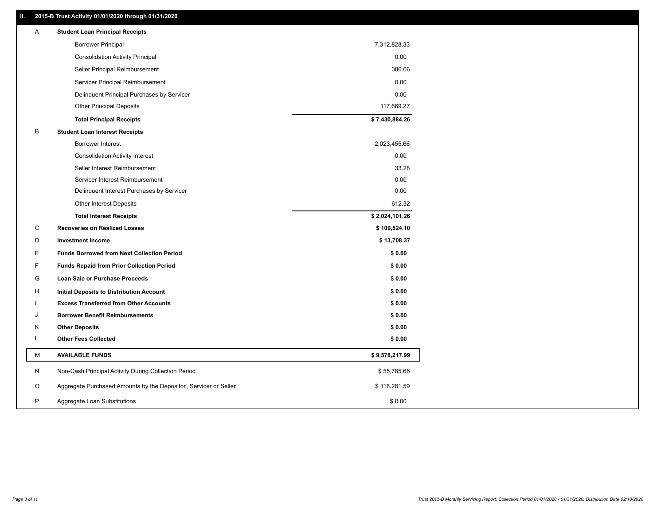### **II. 2015-B Trust Activity 01/01/2020 through 01/31/2020**

| <b>Borrower Principal</b><br>7,312,828.33<br><b>Consolidation Activity Principal</b><br>0.00<br>Seller Principal Reimbursement<br>386.66<br>0.00<br>Servicer Principal Reimbursement<br>0.00<br>Delinquent Principal Purchases by Servicer<br><b>Other Principal Deposits</b><br>117,669.27<br>\$7,430,884.26<br><b>Total Principal Receipts</b><br>B<br><b>Student Loan Interest Receipts</b><br>Borrower Interest<br>2,023,455.66<br>0.00<br><b>Consolidation Activity Interest</b><br>Seller Interest Reimbursement<br>33.28<br>0.00<br>Servicer Interest Reimbursement<br>0.00<br>Delinquent Interest Purchases by Servicer<br>612.32<br><b>Other Interest Deposits</b><br>\$2,024,101.26<br><b>Total Interest Receipts</b><br>C<br><b>Recoveries on Realized Losses</b><br>\$109,524.10<br>D<br><b>Investment Income</b><br>\$13,708.37<br>E.<br><b>Funds Borrowed from Next Collection Period</b><br>\$0.00<br>F<br>\$0.00<br><b>Funds Repaid from Prior Collection Period</b><br>G<br>\$0.00<br>Loan Sale or Purchase Proceeds<br>\$0.00<br>н<br>Initial Deposits to Distribution Account<br>\$0.00<br><b>Excess Transferred from Other Accounts</b><br><b>Borrower Benefit Reimbursements</b><br>\$0.00<br>J<br><b>Other Deposits</b><br>\$0.00<br>κ<br>Г<br><b>Other Fees Collected</b><br>\$0.00<br>М<br><b>AVAILABLE FUNDS</b><br>\$9,578,217.99<br>N<br>Non-Cash Principal Activity During Collection Period<br>\$55,785.68<br>Aggregate Purchased Amounts by the Depositor, Servicer or Seller<br>O<br>\$118,281.59<br>P<br>Aggregate Loan Substitutions<br>\$0.00 | A | <b>Student Loan Principal Receipts</b> |  |
|---------------------------------------------------------------------------------------------------------------------------------------------------------------------------------------------------------------------------------------------------------------------------------------------------------------------------------------------------------------------------------------------------------------------------------------------------------------------------------------------------------------------------------------------------------------------------------------------------------------------------------------------------------------------------------------------------------------------------------------------------------------------------------------------------------------------------------------------------------------------------------------------------------------------------------------------------------------------------------------------------------------------------------------------------------------------------------------------------------------------------------------------------------------------------------------------------------------------------------------------------------------------------------------------------------------------------------------------------------------------------------------------------------------------------------------------------------------------------------------------------------------------------------------------------------------------------------|---|----------------------------------------|--|
|                                                                                                                                                                                                                                                                                                                                                                                                                                                                                                                                                                                                                                                                                                                                                                                                                                                                                                                                                                                                                                                                                                                                                                                                                                                                                                                                                                                                                                                                                                                                                                                 |   |                                        |  |
|                                                                                                                                                                                                                                                                                                                                                                                                                                                                                                                                                                                                                                                                                                                                                                                                                                                                                                                                                                                                                                                                                                                                                                                                                                                                                                                                                                                                                                                                                                                                                                                 |   |                                        |  |
|                                                                                                                                                                                                                                                                                                                                                                                                                                                                                                                                                                                                                                                                                                                                                                                                                                                                                                                                                                                                                                                                                                                                                                                                                                                                                                                                                                                                                                                                                                                                                                                 |   |                                        |  |
|                                                                                                                                                                                                                                                                                                                                                                                                                                                                                                                                                                                                                                                                                                                                                                                                                                                                                                                                                                                                                                                                                                                                                                                                                                                                                                                                                                                                                                                                                                                                                                                 |   |                                        |  |
|                                                                                                                                                                                                                                                                                                                                                                                                                                                                                                                                                                                                                                                                                                                                                                                                                                                                                                                                                                                                                                                                                                                                                                                                                                                                                                                                                                                                                                                                                                                                                                                 |   |                                        |  |
|                                                                                                                                                                                                                                                                                                                                                                                                                                                                                                                                                                                                                                                                                                                                                                                                                                                                                                                                                                                                                                                                                                                                                                                                                                                                                                                                                                                                                                                                                                                                                                                 |   |                                        |  |
|                                                                                                                                                                                                                                                                                                                                                                                                                                                                                                                                                                                                                                                                                                                                                                                                                                                                                                                                                                                                                                                                                                                                                                                                                                                                                                                                                                                                                                                                                                                                                                                 |   |                                        |  |
|                                                                                                                                                                                                                                                                                                                                                                                                                                                                                                                                                                                                                                                                                                                                                                                                                                                                                                                                                                                                                                                                                                                                                                                                                                                                                                                                                                                                                                                                                                                                                                                 |   |                                        |  |
|                                                                                                                                                                                                                                                                                                                                                                                                                                                                                                                                                                                                                                                                                                                                                                                                                                                                                                                                                                                                                                                                                                                                                                                                                                                                                                                                                                                                                                                                                                                                                                                 |   |                                        |  |
|                                                                                                                                                                                                                                                                                                                                                                                                                                                                                                                                                                                                                                                                                                                                                                                                                                                                                                                                                                                                                                                                                                                                                                                                                                                                                                                                                                                                                                                                                                                                                                                 |   |                                        |  |
|                                                                                                                                                                                                                                                                                                                                                                                                                                                                                                                                                                                                                                                                                                                                                                                                                                                                                                                                                                                                                                                                                                                                                                                                                                                                                                                                                                                                                                                                                                                                                                                 |   |                                        |  |
|                                                                                                                                                                                                                                                                                                                                                                                                                                                                                                                                                                                                                                                                                                                                                                                                                                                                                                                                                                                                                                                                                                                                                                                                                                                                                                                                                                                                                                                                                                                                                                                 |   |                                        |  |
|                                                                                                                                                                                                                                                                                                                                                                                                                                                                                                                                                                                                                                                                                                                                                                                                                                                                                                                                                                                                                                                                                                                                                                                                                                                                                                                                                                                                                                                                                                                                                                                 |   |                                        |  |
|                                                                                                                                                                                                                                                                                                                                                                                                                                                                                                                                                                                                                                                                                                                                                                                                                                                                                                                                                                                                                                                                                                                                                                                                                                                                                                                                                                                                                                                                                                                                                                                 |   |                                        |  |
|                                                                                                                                                                                                                                                                                                                                                                                                                                                                                                                                                                                                                                                                                                                                                                                                                                                                                                                                                                                                                                                                                                                                                                                                                                                                                                                                                                                                                                                                                                                                                                                 |   |                                        |  |
|                                                                                                                                                                                                                                                                                                                                                                                                                                                                                                                                                                                                                                                                                                                                                                                                                                                                                                                                                                                                                                                                                                                                                                                                                                                                                                                                                                                                                                                                                                                                                                                 |   |                                        |  |
|                                                                                                                                                                                                                                                                                                                                                                                                                                                                                                                                                                                                                                                                                                                                                                                                                                                                                                                                                                                                                                                                                                                                                                                                                                                                                                                                                                                                                                                                                                                                                                                 |   |                                        |  |
|                                                                                                                                                                                                                                                                                                                                                                                                                                                                                                                                                                                                                                                                                                                                                                                                                                                                                                                                                                                                                                                                                                                                                                                                                                                                                                                                                                                                                                                                                                                                                                                 |   |                                        |  |
|                                                                                                                                                                                                                                                                                                                                                                                                                                                                                                                                                                                                                                                                                                                                                                                                                                                                                                                                                                                                                                                                                                                                                                                                                                                                                                                                                                                                                                                                                                                                                                                 |   |                                        |  |
|                                                                                                                                                                                                                                                                                                                                                                                                                                                                                                                                                                                                                                                                                                                                                                                                                                                                                                                                                                                                                                                                                                                                                                                                                                                                                                                                                                                                                                                                                                                                                                                 |   |                                        |  |
|                                                                                                                                                                                                                                                                                                                                                                                                                                                                                                                                                                                                                                                                                                                                                                                                                                                                                                                                                                                                                                                                                                                                                                                                                                                                                                                                                                                                                                                                                                                                                                                 |   |                                        |  |
|                                                                                                                                                                                                                                                                                                                                                                                                                                                                                                                                                                                                                                                                                                                                                                                                                                                                                                                                                                                                                                                                                                                                                                                                                                                                                                                                                                                                                                                                                                                                                                                 |   |                                        |  |
|                                                                                                                                                                                                                                                                                                                                                                                                                                                                                                                                                                                                                                                                                                                                                                                                                                                                                                                                                                                                                                                                                                                                                                                                                                                                                                                                                                                                                                                                                                                                                                                 |   |                                        |  |
|                                                                                                                                                                                                                                                                                                                                                                                                                                                                                                                                                                                                                                                                                                                                                                                                                                                                                                                                                                                                                                                                                                                                                                                                                                                                                                                                                                                                                                                                                                                                                                                 |   |                                        |  |
|                                                                                                                                                                                                                                                                                                                                                                                                                                                                                                                                                                                                                                                                                                                                                                                                                                                                                                                                                                                                                                                                                                                                                                                                                                                                                                                                                                                                                                                                                                                                                                                 |   |                                        |  |
|                                                                                                                                                                                                                                                                                                                                                                                                                                                                                                                                                                                                                                                                                                                                                                                                                                                                                                                                                                                                                                                                                                                                                                                                                                                                                                                                                                                                                                                                                                                                                                                 |   |                                        |  |
|                                                                                                                                                                                                                                                                                                                                                                                                                                                                                                                                                                                                                                                                                                                                                                                                                                                                                                                                                                                                                                                                                                                                                                                                                                                                                                                                                                                                                                                                                                                                                                                 |   |                                        |  |
|                                                                                                                                                                                                                                                                                                                                                                                                                                                                                                                                                                                                                                                                                                                                                                                                                                                                                                                                                                                                                                                                                                                                                                                                                                                                                                                                                                                                                                                                                                                                                                                 |   |                                        |  |
|                                                                                                                                                                                                                                                                                                                                                                                                                                                                                                                                                                                                                                                                                                                                                                                                                                                                                                                                                                                                                                                                                                                                                                                                                                                                                                                                                                                                                                                                                                                                                                                 |   |                                        |  |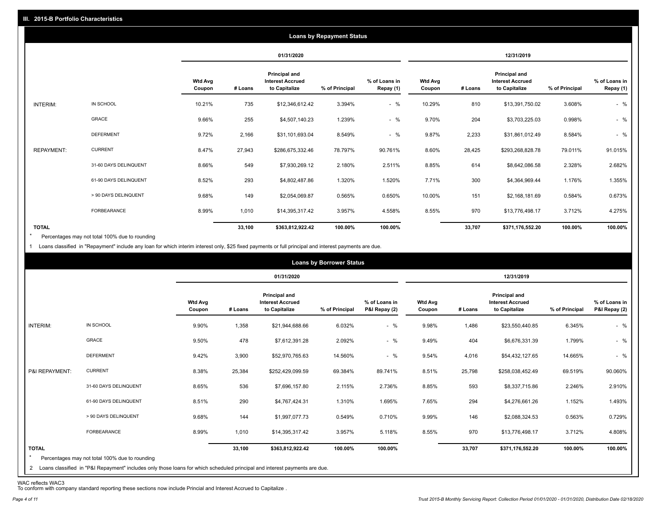|                   |                       |                   |         |                                                                  | <b>Loans by Repayment Status</b> |                            |                          |         |                                                           |                |                            |
|-------------------|-----------------------|-------------------|---------|------------------------------------------------------------------|----------------------------------|----------------------------|--------------------------|---------|-----------------------------------------------------------|----------------|----------------------------|
|                   |                       |                   |         | 01/31/2020                                                       |                                  |                            |                          |         | 12/31/2019                                                |                |                            |
|                   |                       | Wtd Avg<br>Coupon | # Loans | <b>Principal and</b><br><b>Interest Accrued</b><br>to Capitalize | % of Principal                   | % of Loans in<br>Repay (1) | <b>Wtd Avg</b><br>Coupon | # Loans | Principal and<br><b>Interest Accrued</b><br>to Capitalize | % of Principal | % of Loans in<br>Repay (1) |
| INTERIM:          | IN SCHOOL             | 10.21%            | 735     | \$12,346,612.42                                                  | 3.394%                           | $-$ %                      | 10.29%                   | 810     | \$13,391,750.02                                           | 3.608%         | $-$ %                      |
|                   | <b>GRACE</b>          | 9.66%             | 255     | \$4,507,140.23                                                   | 1.239%                           | $-$ %                      | 9.70%                    | 204     | \$3,703,225.03                                            | 0.998%         | $-$ %                      |
|                   | <b>DEFERMENT</b>      | 9.72%             | 2,166   | \$31,101,693.04                                                  | 8.549%                           | $-$ %                      | 9.87%                    | 2,233   | \$31,861,012.49                                           | 8.584%         | $-$ %                      |
| <b>REPAYMENT:</b> | <b>CURRENT</b>        | 8.47%             | 27,943  | \$286,675,332.46                                                 | 78.797%                          | 90.761%                    | 8.60%                    | 28,425  | \$293,268,828.78                                          | 79.011%        | 91.015%                    |
|                   | 31-60 DAYS DELINQUENT | 8.66%             | 549     | \$7,930,269.12                                                   | 2.180%                           | 2.511%                     | 8.85%                    | 614     | \$8,642,086.58                                            | 2.328%         | 2.682%                     |
|                   | 61-90 DAYS DELINQUENT | 8.52%             | 293     | \$4,802,487.86                                                   | 1.320%                           | 1.520%                     | 7.71%                    | 300     | \$4,364,969.44                                            | 1.176%         | 1.355%                     |
|                   | > 90 DAYS DELINQUENT  | 9.68%             | 149     | \$2,054,069.87                                                   | 0.565%                           | 0.650%                     | 10.00%                   | 151     | \$2,168,181.69                                            | 0.584%         | 0.673%                     |
|                   | FORBEARANCE           | 8.99%             | 1,010   | \$14,395,317.42                                                  | 3.957%                           | 4.558%                     | 8.55%                    | 970     | \$13,776,498.17                                           | 3.712%         | 4.275%                     |
| <b>TOTAL</b>      |                       |                   | 33,100  | \$363,812,922.42                                                 | 100.00%                          | 100.00%                    |                          | 33,707  | \$371,176,552.20                                          | 100.00%        | 100.00%                    |

Percentages may not total 100% due to rounding  $\star$ 

1 Loans classified in "Repayment" include any loan for which interim interest only, \$25 fixed payments or full principal and interest payments are due.

|                         |                                                                                                                                                                                |                          |         |                                                           | <b>Loans by Borrower Status</b> |                                |                          |         |                                                                  |                |                                |
|-------------------------|--------------------------------------------------------------------------------------------------------------------------------------------------------------------------------|--------------------------|---------|-----------------------------------------------------------|---------------------------------|--------------------------------|--------------------------|---------|------------------------------------------------------------------|----------------|--------------------------------|
|                         |                                                                                                                                                                                |                          |         | 01/31/2020                                                |                                 |                                |                          |         | 12/31/2019                                                       |                |                                |
|                         |                                                                                                                                                                                | <b>Wtd Avg</b><br>Coupon | # Loans | Principal and<br><b>Interest Accrued</b><br>to Capitalize | % of Principal                  | % of Loans in<br>P&I Repay (2) | <b>Wtd Avg</b><br>Coupon | # Loans | <b>Principal and</b><br><b>Interest Accrued</b><br>to Capitalize | % of Principal | % of Loans in<br>P&I Repay (2) |
| INTERIM:                | IN SCHOOL                                                                                                                                                                      | 9.90%                    | 1,358   | \$21,944,688.66                                           | 6.032%                          | $-$ %                          | 9.98%                    | 1,486   | \$23,550,440.85                                                  | 6.345%         | $-$ %                          |
|                         | GRACE                                                                                                                                                                          | 9.50%                    | 478     | \$7,612,391.28                                            | 2.092%                          | $-$ %                          | 9.49%                    | 404     | \$6,676,331.39                                                   | 1.799%         | $-$ %                          |
|                         | <b>DEFERMENT</b>                                                                                                                                                               | 9.42%                    | 3,900   | \$52,970,765.63                                           | 14.560%                         | $-$ %                          | 9.54%                    | 4,016   | \$54,432,127.65                                                  | 14.665%        | $-$ %                          |
| P&I REPAYMENT:          | <b>CURRENT</b>                                                                                                                                                                 | 8.38%                    | 25,384  | \$252,429,099.59                                          | 69.384%                         | 89.741%                        | 8.51%                    | 25,798  | \$258,038,452.49                                                 | 69.519%        | 90.060%                        |
|                         | 31-60 DAYS DELINQUENT                                                                                                                                                          | 8.65%                    | 536     | \$7,696,157.80                                            | 2.115%                          | 2.736%                         | 8.85%                    | 593     | \$8,337,715.86                                                   | 2.246%         | 2.910%                         |
|                         | 61-90 DAYS DELINQUENT                                                                                                                                                          | 8.51%                    | 290     | \$4,767,424.31                                            | 1.310%                          | 1.695%                         | 7.65%                    | 294     | \$4,276,661.26                                                   | 1.152%         | 1.493%                         |
|                         | > 90 DAYS DELINQUENT                                                                                                                                                           | 9.68%                    | 144     | \$1,997,077.73                                            | 0.549%                          | 0.710%                         | 9.99%                    | 146     | \$2,088,324.53                                                   | 0.563%         | 0.729%                         |
|                         | FORBEARANCE                                                                                                                                                                    | 8.99%                    | 1,010   | \$14,395,317.42                                           | 3.957%                          | 5.118%                         | 8.55%                    | 970     | \$13,776,498.17                                                  | 3.712%         | 4.808%                         |
| <b>TOTAL</b><br>$\star$ | Percentages may not total 100% due to rounding<br>2 Loans classified in "P&I Repayment" includes only those loans for which scheduled principal and interest payments are due. |                          | 33,100  | \$363,812,922.42                                          | 100.00%                         | 100.00%                        |                          | 33,707  | \$371,176,552.20                                                 | 100.00%        | 100.00%                        |
|                         |                                                                                                                                                                                |                          |         |                                                           |                                 |                                |                          |         |                                                                  |                |                                |

WAC reflects WAC3 To conform with company standard reporting these sections now include Princial and Interest Accrued to Capitalize .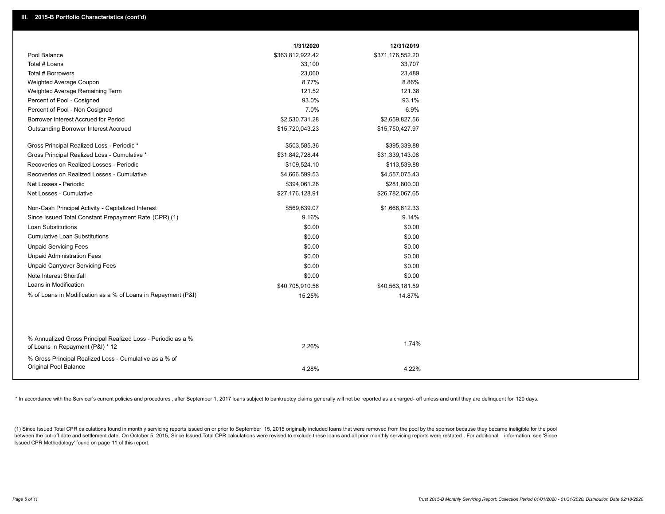| Pool Balance<br>\$363,812,922.42<br>\$371,176,552.20<br>Total # Loans<br>33,100<br>33,707 |
|-------------------------------------------------------------------------------------------|
|                                                                                           |
|                                                                                           |
| Total # Borrowers<br>23,060<br>23,489                                                     |
| 8.77%<br>8.86%<br>Weighted Average Coupon                                                 |
| 121.52<br>121.38<br>Weighted Average Remaining Term                                       |
| 93.0%<br>93.1%<br>Percent of Pool - Cosigned                                              |
| 6.9%<br>7.0%<br>Percent of Pool - Non Cosigned                                            |
| Borrower Interest Accrued for Period<br>\$2,530,731.28<br>\$2,659,827.56                  |
| Outstanding Borrower Interest Accrued<br>\$15,720,043.23<br>\$15,750,427.97               |
| Gross Principal Realized Loss - Periodic *<br>\$503,585.36<br>\$395,339.88                |
| Gross Principal Realized Loss - Cumulative *<br>\$31,842,728.44<br>\$31,339,143.08        |
| Recoveries on Realized Losses - Periodic<br>\$109,524.10<br>\$113,539.88                  |
| Recoveries on Realized Losses - Cumulative<br>\$4,666,599.53<br>\$4,557,075.43            |
| Net Losses - Periodic<br>\$394,061.26<br>\$281,800.00                                     |
| Net Losses - Cumulative<br>\$27,176,128.91<br>\$26,782,067.65                             |
| Non-Cash Principal Activity - Capitalized Interest<br>\$569,639.07<br>\$1,666,612.33      |
| Since Issued Total Constant Prepayment Rate (CPR) (1)<br>9.16%<br>9.14%                   |
| <b>Loan Substitutions</b><br>\$0.00<br>\$0.00                                             |
| <b>Cumulative Loan Substitutions</b><br>\$0.00<br>\$0.00                                  |
| <b>Unpaid Servicing Fees</b><br>\$0.00<br>\$0.00                                          |
| <b>Unpaid Administration Fees</b><br>\$0.00<br>\$0.00                                     |
| <b>Unpaid Carryover Servicing Fees</b><br>\$0.00<br>\$0.00                                |
| Note Interest Shortfall<br>\$0.00<br>\$0.00                                               |
| Loans in Modification<br>\$40,705,910.56<br>\$40,563,181.59                               |
| % of Loans in Modification as a % of Loans in Repayment (P&I)<br>15.25%<br>14.87%         |
|                                                                                           |
| % Annualized Gross Principal Realized Loss - Periodic as a %                              |
| 1.74%<br>2.26%<br>of Loans in Repayment (P&I) * 12                                        |
| % Gross Principal Realized Loss - Cumulative as a % of                                    |
| Original Pool Balance<br>4.28%<br>4.22%                                                   |

\* In accordance with the Servicer's current policies and procedures, after September 1, 2017 loans subject to bankruptcy claims generally will not be reported as a charged- off unless and until they are delinquent for 120

(1) Since Issued Total CPR calculations found in monthly servicing reports issued on or prior to September 15, 2015 originally included loans that were removed from the pool by the sponsor because they became ineligible fo between the cut-off date and settlement date. On October 5, 2015, Since Issued Total CPR calculations were revised to exclude these loans and all prior monthly servicing reports were restated. For additional information, s Issued CPR Methodology' found on page 11 of this report.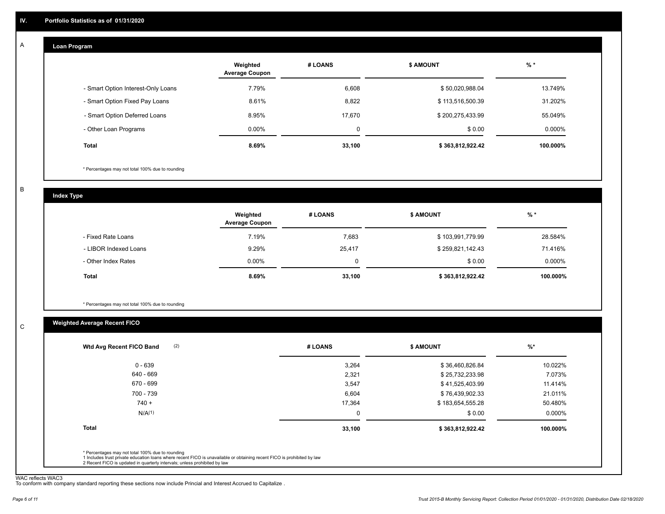#### **Loan Program**  A

|                                    | Weighted<br><b>Average Coupon</b> | # LOANS | <b>\$ AMOUNT</b> | $%$ *     |
|------------------------------------|-----------------------------------|---------|------------------|-----------|
| - Smart Option Interest-Only Loans | 7.79%                             | 6,608   | \$50,020,988.04  | 13.749%   |
| - Smart Option Fixed Pay Loans     | 8.61%                             | 8,822   | \$113,516,500.39 | 31.202%   |
| - Smart Option Deferred Loans      | 8.95%                             | 17.670  | \$200,275,433.99 | 55.049%   |
| - Other Loan Programs              | $0.00\%$                          | 0       | \$0.00           | $0.000\%$ |
| <b>Total</b>                       | $8.69\%$                          | 33,100  | \$363,812,922.42 | 100.000%  |

\* Percentages may not total 100% due to rounding

B

C

**Index Type**

|                       | Weighted<br><b>Average Coupon</b> | # LOANS | <b>\$ AMOUNT</b> | $%$ *     |
|-----------------------|-----------------------------------|---------|------------------|-----------|
| - Fixed Rate Loans    | 7.19%                             | 7,683   | \$103,991,779.99 | 28.584%   |
| - LIBOR Indexed Loans | 9.29%                             | 25,417  | \$259,821,142.43 | 71.416%   |
| - Other Index Rates   | $0.00\%$                          | 0       | \$0.00           | $0.000\%$ |
| Total                 | 8.69%                             | 33,100  | \$363,812,922.42 | 100.000%  |

\* Percentages may not total 100% due to rounding

### **Weighted Average Recent FICO**

| 3,264    | \$36,460,826.84  | 10.022%   |
|----------|------------------|-----------|
| 2,321    | \$25,732,233.98  | 7.073%    |
| 3,547    | \$41,525,403.99  | 11.414%   |
| 6,604    | \$76,439,902.33  | 21.011%   |
| 17,364   | \$183,654,555.28 | 50.480%   |
| $\Omega$ | \$0.00           | $0.000\%$ |
| 33,100   | \$363,812,922.42 | 100.000%  |
|          |                  |           |

WAC reflects WAC3 To conform with company standard reporting these sections now include Princial and Interest Accrued to Capitalize .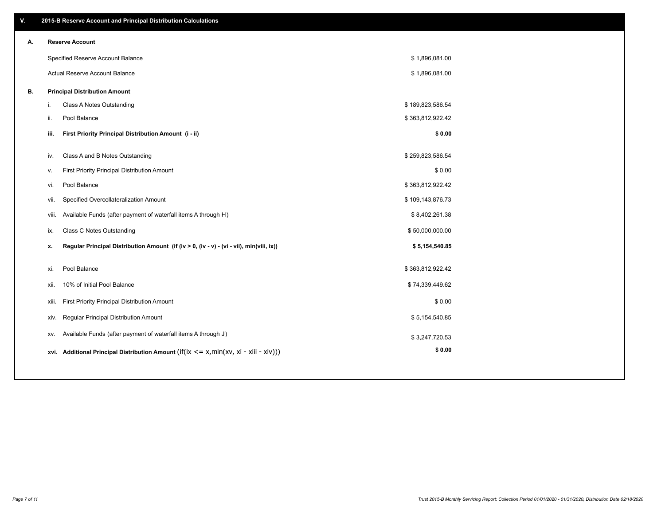| V. |     | 2015-B Reserve Account and Principal Distribution Calculations                             |                  |  |
|----|-----|--------------------------------------------------------------------------------------------|------------------|--|
| А. |     | <b>Reserve Account</b>                                                                     |                  |  |
|    |     | Specified Reserve Account Balance                                                          | \$1,896,081.00   |  |
|    |     | Actual Reserve Account Balance                                                             | \$1,896,081.00   |  |
| В. |     | <b>Principal Distribution Amount</b>                                                       |                  |  |
|    | i.  | Class A Notes Outstanding                                                                  | \$189,823,586.54 |  |
|    | ji. | Pool Balance                                                                               | \$363,812,922.42 |  |
|    |     | First Priority Principal Distribution Amount (i - ii)<br>iii.                              | \$0.00           |  |
|    | iv. | Class A and B Notes Outstanding                                                            | \$259,823,586.54 |  |
|    | v.  | First Priority Principal Distribution Amount                                               | \$0.00           |  |
|    | vi. | Pool Balance                                                                               | \$363,812,922.42 |  |
|    |     | Specified Overcollateralization Amount<br>vii.                                             | \$109,143,876.73 |  |
|    |     | Available Funds (after payment of waterfall items A through H)<br>viii.                    | \$8,402,261.38   |  |
|    | ix. | Class C Notes Outstanding                                                                  | \$50,000,000.00  |  |
|    | x.  | Regular Principal Distribution Amount (if (iv > 0, (iv - v) - (vi - vii), min(viii, ix))   | \$5,154,540.85   |  |
|    |     |                                                                                            |                  |  |
|    | xi. | Pool Balance                                                                               | \$363,812,922.42 |  |
|    |     | 10% of Initial Pool Balance<br>xii.                                                        | \$74,339,449.62  |  |
|    |     | First Priority Principal Distribution Amount<br>xiii.                                      | \$0.00           |  |
|    |     | Regular Principal Distribution Amount<br>XIV.                                              | \$5,154,540.85   |  |
|    |     | Available Funds (after payment of waterfall items A through J)<br>XV.                      | \$3,247,720.53   |  |
|    |     | xvi. Additional Principal Distribution Amount (if(ix $\lt$ = x, min(xv, xi - xiii - xiv))) | \$0.00           |  |
|    |     |                                                                                            |                  |  |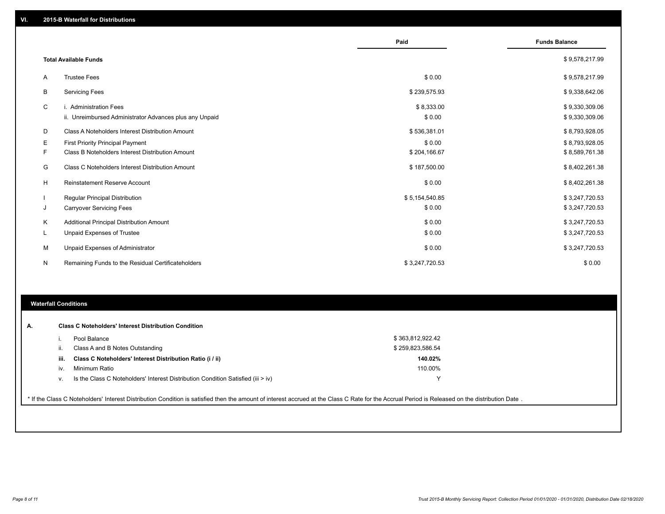|    |                                                         | Paid           | <b>Funds Balance</b> |
|----|---------------------------------------------------------|----------------|----------------------|
|    | <b>Total Available Funds</b>                            |                | \$9,578,217.99       |
| A  | <b>Trustee Fees</b>                                     | \$0.00         | \$9,578,217.99       |
| В  | <b>Servicing Fees</b>                                   | \$239,575.93   | \$9,338,642.06       |
| C  | i. Administration Fees                                  | \$8,333.00     | \$9,330,309.06       |
|    | ii. Unreimbursed Administrator Advances plus any Unpaid | \$0.00         | \$9,330,309.06       |
| D  | Class A Noteholders Interest Distribution Amount        | \$536,381.01   | \$8,793,928.05       |
| E. | First Priority Principal Payment                        | \$0.00         | \$8,793,928.05       |
| F. | Class B Noteholders Interest Distribution Amount        | \$204,166.67   | \$8,589,761.38       |
| G  | <b>Class C Noteholders Interest Distribution Amount</b> | \$187,500.00   | \$8,402,261.38       |
| H  | <b>Reinstatement Reserve Account</b>                    | \$0.00         | \$8,402,261.38       |
|    | Regular Principal Distribution                          | \$5,154,540.85 | \$3,247,720.53       |
| J  | <b>Carryover Servicing Fees</b>                         | \$0.00         | \$3,247,720.53       |
| Κ  | Additional Principal Distribution Amount                | \$0.00         | \$3,247,720.53       |
| L  | Unpaid Expenses of Trustee                              | \$0.00         | \$3,247,720.53       |
| м  | Unpaid Expenses of Administrator                        | \$0.00         | \$3,247,720.53       |
| N  | Remaining Funds to the Residual Certificateholders      | \$3,247,720.53 | \$0.00               |

#### **Waterfall Conditions**

|      | Pool Balance                                                                     | \$363,812,922.42 |  |
|------|----------------------------------------------------------------------------------|------------------|--|
|      | Class A and B Notes Outstanding                                                  | \$259,823,586.54 |  |
| iii. | Class C Noteholders' Interest Distribution Ratio (i / ii)                        | 140.02%          |  |
| iv.  | Minimum Ratio                                                                    | 110.00%          |  |
| V.   | Is the Class C Noteholders' Interest Distribution Condition Satisfied (iii > iv) | $\checkmark$     |  |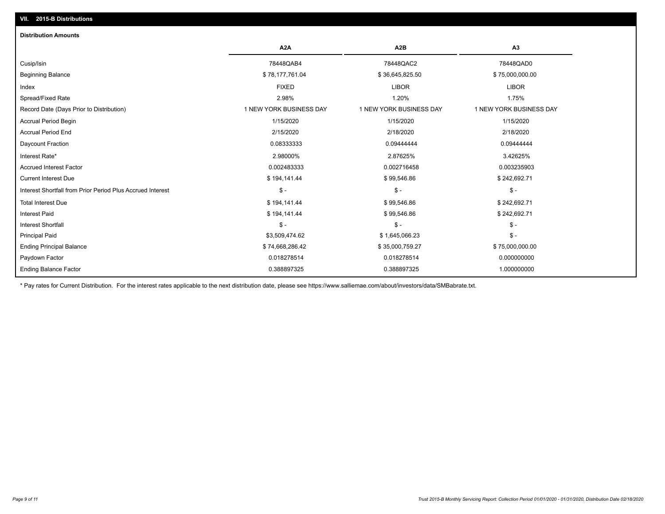## **VII. 2015-B Distributions**

| <b>Distribution Amounts</b>                                |                         |                         |                         |
|------------------------------------------------------------|-------------------------|-------------------------|-------------------------|
|                                                            | A <sub>2</sub> A        | A <sub>2</sub> B        | A3                      |
| Cusip/Isin                                                 | 78448QAB4               | 78448QAC2               | 78448QAD0               |
| <b>Beginning Balance</b>                                   | \$78,177,761.04         | \$36,645,825.50         | \$75,000,000.00         |
| Index                                                      | <b>FIXED</b>            | <b>LIBOR</b>            | <b>LIBOR</b>            |
| Spread/Fixed Rate                                          | 2.98%                   | 1.20%                   | 1.75%                   |
| Record Date (Days Prior to Distribution)                   | 1 NEW YORK BUSINESS DAY | 1 NEW YORK BUSINESS DAY | 1 NEW YORK BUSINESS DAY |
| Accrual Period Begin                                       | 1/15/2020               | 1/15/2020               | 1/15/2020               |
| <b>Accrual Period End</b>                                  | 2/15/2020               | 2/18/2020               | 2/18/2020               |
| Daycount Fraction                                          | 0.08333333              | 0.09444444              | 0.09444444              |
| Interest Rate*                                             | 2.98000%                | 2.87625%                | 3.42625%                |
| <b>Accrued Interest Factor</b>                             | 0.002483333             | 0.002716458             | 0.003235903             |
| <b>Current Interest Due</b>                                | \$194,141.44            | \$99,546.86             | \$242,692.71            |
| Interest Shortfall from Prior Period Plus Accrued Interest | $\mathsf{\$}$ -         | $\mathbb{S}$ -          | $$ -$                   |
| <b>Total Interest Due</b>                                  | \$194,141.44            | \$99,546.86             | \$242,692.71            |
| <b>Interest Paid</b>                                       | \$194,141.44            | \$99,546.86             | \$242,692.71            |
| <b>Interest Shortfall</b>                                  | $\mathsf{\$}$ -         | $\mathsf{\$}$ -         | $$ -$                   |
| <b>Principal Paid</b>                                      | \$3,509,474.62          | \$1,645,066.23          | $$ -$                   |
| <b>Ending Principal Balance</b>                            | \$74,668,286.42         | \$35,000,759.27         | \$75,000,000.00         |
| Paydown Factor                                             | 0.018278514             | 0.018278514             | 0.000000000             |
| <b>Ending Balance Factor</b>                               | 0.388897325             | 0.388897325             | 1.000000000             |

\* Pay rates for Current Distribution. For the interest rates applicable to the next distribution date, please see https://www.salliemae.com/about/investors/data/SMBabrate.txt.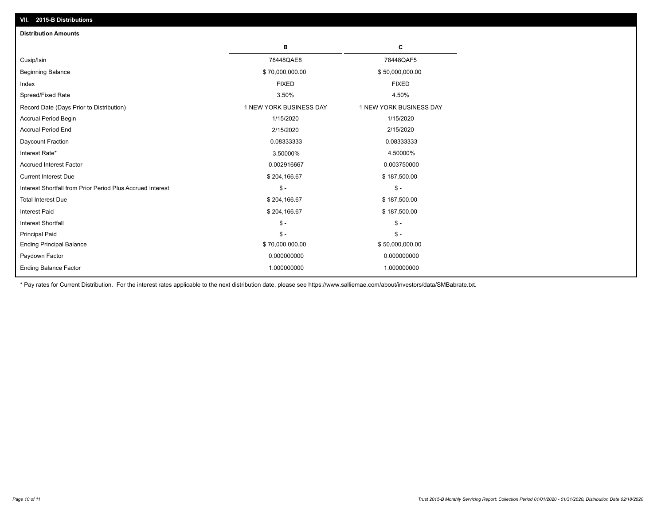| VII. 2015-B Distributions                                  |                         |                         |
|------------------------------------------------------------|-------------------------|-------------------------|
| <b>Distribution Amounts</b>                                |                         |                         |
|                                                            | в                       | C                       |
| Cusip/Isin                                                 | 78448QAE8               | 78448QAF5               |
| <b>Beginning Balance</b>                                   | \$70,000,000.00         | \$50,000,000.00         |
| Index                                                      | <b>FIXED</b>            | <b>FIXED</b>            |
| Spread/Fixed Rate                                          | 3.50%                   | 4.50%                   |
| Record Date (Days Prior to Distribution)                   | 1 NEW YORK BUSINESS DAY | 1 NEW YORK BUSINESS DAY |
| <b>Accrual Period Begin</b>                                | 1/15/2020               | 1/15/2020               |
| <b>Accrual Period End</b>                                  | 2/15/2020               | 2/15/2020               |
| Daycount Fraction                                          | 0.08333333              | 0.08333333              |
| Interest Rate*                                             | 3.50000%                | 4.50000%                |
| <b>Accrued Interest Factor</b>                             | 0.002916667             | 0.003750000             |
| <b>Current Interest Due</b>                                | \$204,166.67            | \$187,500.00            |
| Interest Shortfall from Prior Period Plus Accrued Interest | $\mathsf{\$}$ -         | $\mathsf{\$}$ -         |
| <b>Total Interest Due</b>                                  | \$204,166.67            | \$187,500.00            |
| Interest Paid                                              | \$204,166.67            | \$187,500.00            |
| Interest Shortfall                                         | $\mathcal{S}$ -         | $\frac{1}{2}$           |
| <b>Principal Paid</b>                                      | $\mathsf{\$}$ -         | $$ -$                   |
| <b>Ending Principal Balance</b>                            | \$70,000,000.00         | \$50,000,000.00         |
| Paydown Factor                                             | 0.000000000             | 0.000000000             |
| <b>Ending Balance Factor</b>                               | 1.000000000             | 1.000000000             |

\* Pay rates for Current Distribution. For the interest rates applicable to the next distribution date, please see https://www.salliemae.com/about/investors/data/SMBabrate.txt.